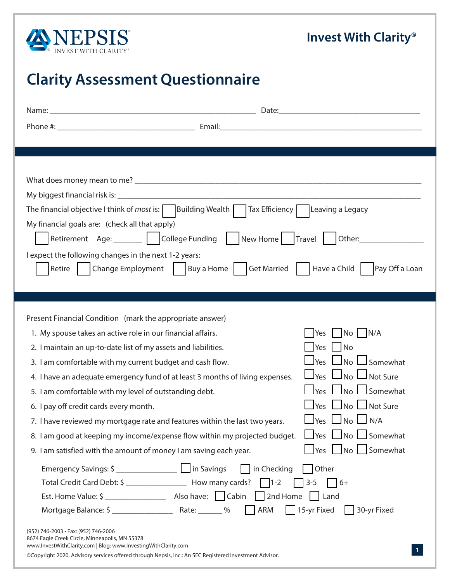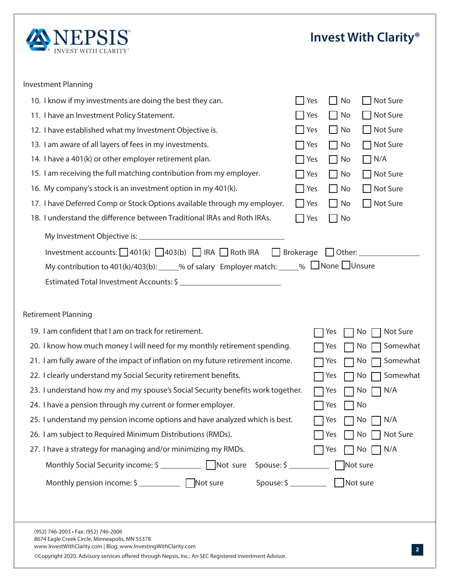|        |        |        |        |        | $\Box$<br>$\Box$<br>$\Box$<br>$\Box$<br>$\Box$<br>$\Box$<br>$\Box$<br>$\Box$<br>$\Box$ | $\Box$<br>$\Box$<br>$\Box$<br>$\Box$<br>$\Box$<br>$\Box$<br>$\Box$<br>$\Box$<br>П | $\overline{\phantom{a}}$<br>$\Box$<br>$\Box$<br>$\Box$<br>$\Box$<br>$\Box$<br>$\Box$<br>$\overline{\phantom{0}}$ |
|--------|--------|--------|--------|--------|----------------------------------------------------------------------------------------|-----------------------------------------------------------------------------------|------------------------------------------------------------------------------------------------------------------|
| $\Box$ | $\Box$ | $\Box$ | $\Box$ | $\Box$ | $\Box$                                                                                 | ┑<br>П                                                                            |                                                                                                                  |
|        |        |        |        |        |                                                                                        |                                                                                   |                                                                                                                  |

 $\Box$ 

 $\Box$ 

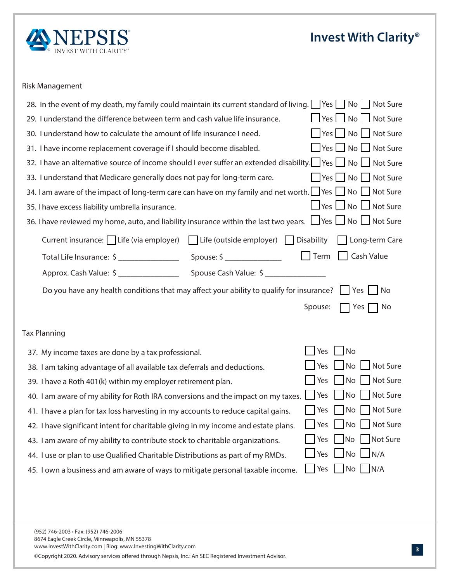## \*UT"MM"CPVU\$MBSJUZ ¥

## Risk Management

| In the event of my death, my family could maintain its current standard of living. $\Box$ Yes $\Box$ No $\Box$ Not Sure                                  |  |
|----------------------------------------------------------------------------------------------------------------------------------------------------------|--|
| $\Box$ Yes $\Box$ No $\Box$ Not Sure<br>I understand the difference between term and cash value life insurance.                                          |  |
| Yes No Not Sure<br>I understand how to calculate the amount of life insurance I need.                                                                    |  |
| ■ Yes ■ No ■ Not Sure<br>I have income replacement coverage if I should become disabled.                                                                 |  |
| <b>IBWFBOBMUFSOBUJWFTPSDFPG@DPNFTIPMEFWFSTGGFSBOFYUFOEFEEJBCMWZ</b><br>  Yes   No   Not Sure                                                             |  |
| <b>WEFSTUBOEUIBU.FEIDBSFHFOFSBMMEPFTOPUOBGPSMPOHUFSNDBSF</b><br>Yes No Not Sure                                                                          |  |
| ■ Yes ■ No ■ Not Sure<br>BNBESFPGUIFNOBDUPGMPOHUFSNDBSFDBOIBWFPONGBNMEOEOFURSUI                                                                          |  |
| $\Box$ Yes $\Box$ No $\Box$ Not Sure<br><b>IBWFFYDFTTMBCMWMCSFMMB0TSBODF</b>                                                                             |  |
| $\Box$ Yes $\Box$ No $\Box$ Not Sure<br><b>IBWFSFWJKENIPNFBUPBOEMBCIMUIDTSBODFIAIDUIFMBTUUREBST</b>                                                      |  |
| -PCLFSNBSF<br>GFWBFNQMPES -GI JTEFFNQMPESTBCMWZ<br><b>\$25FOUDT\$BODF</b>                                                                                |  |
| 5FSNBT BMW<br>5PUBM-GFOTSBODF@QPVF@                                                                                                                      |  |
| QQSPYBTI7BMW@QPVFBTI7BMW@                                                                                                                                |  |
| <b>@@NBWFBOIEBMUIDPOEWDOTUIBUNBBGGFDU@SBCMWZPRBMGGPSQTSBODF:FT/P</b>                                                                                     |  |
| 4QPVF:FT/                                                                                                                                                |  |
|                                                                                                                                                          |  |
| 5BY1MBOODH                                                                                                                                               |  |
| $\sqrt{\phantom{a}}$ No<br>Yes<br><b>.ODPNFUBYFTBSFEPOFCBUBYQSPGFTTPOBM</b>                                                                              |  |
| No.<br>Not Sure<br>Yes<br>BNUBLOHBEWBOUBHFPGBMMBWBMBCMFUBYEFGFSSBMTBOEEFEDUPOT                                                                           |  |
| Not Sure<br>N <sub>O</sub><br>Yes<br><b>IBWFB3PUILWIDNENQMPESSFUSFNFOUQMBO</b>                                                                           |  |
| Not Sure<br><b>No</b><br>Yes<br>BNBESFPGNECMWGPS3PUI3DPOWFSTPOTBOEUIFNQBDUPONDBYFT                                                                       |  |
| Not Sure<br>N <sub>O</sub><br>Yes<br>IBWFBQMBOGPSUBYMPTTIBSWFTU@H@NBDDP@UTUPSFEDFDBQWBMHB@T                                                              |  |
| <b>IBWFTHOGDBOUDUFOUGPSDIBSWBCMFHWDHDNØDPNFBOEFTUBUFQMBOT∐Yes</b><br>No Not Sure                                                                         |  |
| No Not Sure<br>Yes<br>BNBESFPGNECMWZPDPOUSCWFTUPDLUPDIBSWBCMFPSHBOBUPOT                                                                                  |  |
| $\Box$ No $\Box$ N/A<br>Yes<br><b>WEPSOMBOUPVE2BMGJELSSWBCMFJUSCWPOTBTOBSUPGNZ.%</b>                                                                     |  |
| $\vert$ No $\vert$ N/A<br>Yes<br>PØBCVOFTTBOEBNBKSFPGKZUPNWHBUFQFSTPOBMUBYBCMFODPNF                                                                      |  |
|                                                                                                                                                          |  |
|                                                                                                                                                          |  |
|                                                                                                                                                          |  |
| (952) 746-2003 · Fax: (952) 746-2006                                                                                                                     |  |
| 8674 Eagle Creek Circle, Minneapolis, MN 55378<br>www.InvestWithClarity.com   Blog: www.InvestingWithClarity.com   Podcast: Invest With Clarity® Podcast |  |
| © Copyright 202 . Advisory services offered through Nepsis, Inc.: An SEC Registered Investment Advisor.                                                  |  |